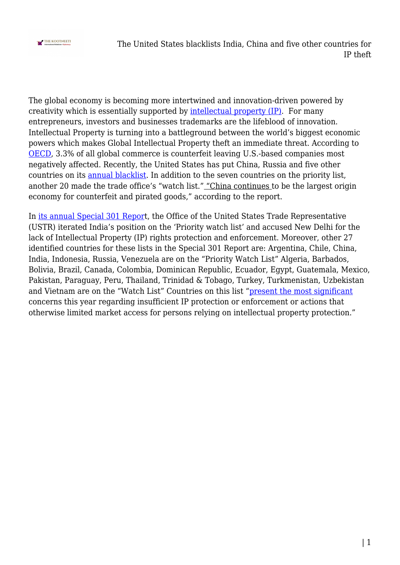

The global economy is becoming more intertwined and innovation-driven powered by creativity which is essentially supported by [intellectual property \(IP\)](https://en.wikipedia.org/wiki/Intellectual_property). For many entrepreneurs, investors and businesses trademarks are the lifeblood of innovation. Intellectual Property is turning into a battleground between the world's biggest economic powers which makes Global Intellectual Property theft an immediate threat. According to [OECD](https://www.oecd.org/newsroom/trade-in-fake-goods-is-now-33-of-world-trade-and-rising.htm), 3.3% of all global commerce is counterfeit leaving U.S.-based companies most negatively affected. Recently, the United States has put China, Russia and five other countries on its [annual blacklist.](https://www.usnews.com/news/politics/articles/2022-04-27/china-russia-five-others-make-us-property-rights-blacklist) In addition to the seven countries on the priority list, another 20 made the trade office's "watch list." "China continues to be the largest origin economy for counterfeit and pirated goods," according to the report.

In [its annual Special 301 Repor](https://www.wipo.int/pressroom/en/articles/2019/article_0012.html)t, the Office of the United States Trade Representative (USTR) iterated India's position on the 'Priority watch list' and accused New Delhi for the lack of Intellectual Property (IP) rights protection and enforcement. Moreover, other 27 identified countries for these lists in the Special 301 Report are: Argentina, Chile, China, India, Indonesia, Russia, Venezuela are on the "Priority Watch List" Algeria, Barbados, Bolivia, Brazil, Canada, Colombia, Dominican Republic, Ecuador, Egypt, Guatemala, Mexico, Pakistan, Paraguay, Peru, Thailand, Trinidad & Tobago, Turkey, Turkmenistan, Uzbekistan and Vietnam are on the "Watch List" Countries on this list ["present the most significant](https://ustr.gov/about-us/policy-offices/press-office/press-releases/2021/april/ustr-releases-annual-special-301-report-intellectual-property-protection) concerns this year regarding insufficient IP protection or enforcement or actions that otherwise limited market access for persons relying on intellectual property protection."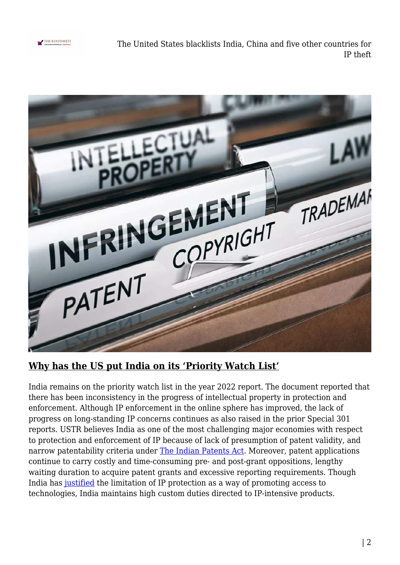

The United States blacklists India, China and five other countries for IP theft



## **Why has the US put India on its 'Priority Watch List'**

India remains on the priority watch list in the year 2022 report. The document reported that there has been inconsistency in the progress of intellectual property in protection and enforcement. Although IP enforcement in the online sphere has improved, the lack of progress on long-standing IP concerns continues as also raised in the prior Special 301 reports. USTR believes India as one of the most challenging major economies with respect to protection and enforcement of IP because of lack of presumption of patent validity, and narrow patentability criteria under [The Indian Patents Act](https://ipindia.gov.in/writereaddata/Portal/IPOAct/1_31_1_patent-act-1970-11march2015.pdf). Moreover, patent applications continue to carry costly and time-consuming pre- and post-grant oppositions, lengthy waiting duration to acquire patent grants and excessive reporting requirements. Though India has [justified](https://ustr.gov/about-us/policy-offices/press-office/press-releases/2021/april/ustr-releases-annual-special-301-report-intellectual-property-protection) the limitation of IP protection as a way of promoting access to technologies, India maintains high custom duties directed to IP-intensive products.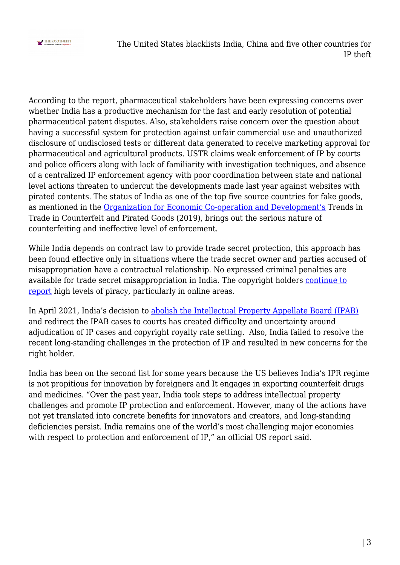

The United States blacklists India, China and five other countries for IP theft

According to the report, pharmaceutical stakeholders have been expressing concerns over whether India has a productive mechanism for the fast and early resolution of potential pharmaceutical patent disputes. Also, stakeholders raise concern over the question about having a successful system for protection against unfair commercial use and unauthorized disclosure of undisclosed tests or different data generated to receive marketing approval for pharmaceutical and agricultural products. USTR claims weak enforcement of IP by courts and police officers along with lack of familiarity with investigation techniques, and absence of a centralized IP enforcement agency with poor coordination between state and national level actions threaten to undercut the developments made last year against websites with pirated contents. The status of India as one of the top five source countries for fake goods, as mentioned in the [Organization for Economic Co-operation and Development's](https://www.oecd-ilibrary.org/sites/98ff165d-en/index.html?itemId=/content/component/98ff165d-en#:~:text=India%2C%20Malaysia%2C%20Mexico%2C%20Singapore,worldwide%20between%20the%20two%20periods.) Trends in Trade in Counterfeit and Pirated Goods (2019), brings out the serious nature of counterfeiting and ineffective level of enforcement.

While India depends on contract law to provide trade secret protection, this approach has been found effective only in situations where the trade secret owner and parties accused of misappropriation have a contractual relationship. No expressed criminal penalties are available for trade secret misappropriation in India. The copyright holders [continue to](https://indianexpress.com/article/technology/tech-news-technology/india-ranks-third-globally-for-consuming-pirated-content-akamai-report-7753275/) [report](https://indianexpress.com/article/technology/tech-news-technology/india-ranks-third-globally-for-consuming-pirated-content-akamai-report-7753275/) high levels of piracy, particularly in online areas.

In April 2021, India's decision to [abolish the Intellectual Property Appellate Board \(IPAB\)](https://www.lexology.com/library/detail.aspx?g=2e4286b6-99c4-4dc0-8dbe-6fa9a08e8781#:~:text=On%204th%20April%202021,IPAB) and redirect the IPAB cases to courts has created difficulty and uncertainty around adjudication of IP cases and copyright royalty rate setting. Also, India failed to resolve the recent long-standing challenges in the protection of IP and resulted in new concerns for the right holder.

India has been on the second list for some years because the US believes India's IPR regime is not propitious for innovation by foreigners and It engages in exporting counterfeit drugs and medicines. "Over the past year, India took steps to address intellectual property challenges and promote IP protection and enforcement. However, many of the actions have not yet translated into concrete benefits for innovators and creators, and long-standing deficiencies persist. India remains one of the world's most challenging major economies with respect to protection and enforcement of IP," an official US report said.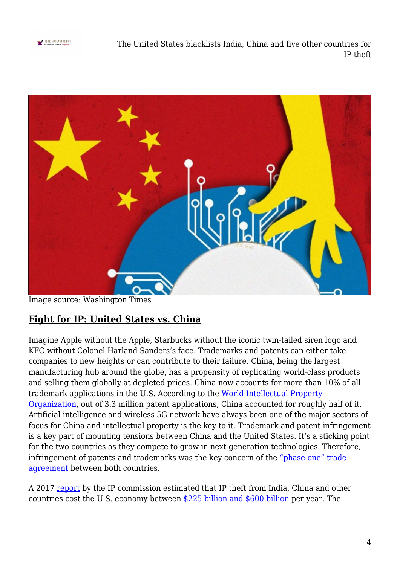

The United States blacklists India, China and five other countries for IP theft



Image source: Washington Times

## **Fight for IP: United States vs. China**

Imagine Apple without the Apple, Starbucks without the iconic twin-tailed siren logo and KFC without Colonel Harland Sanders's face. Trademarks and patents can either take companies to new heights or can contribute to their failure. China, being the largest manufacturing hub around the globe, has a propensity of replicating world-class products and selling them globally at depleted prices. China now accounts for more than 10% of all trademark applications in the U.S. According to the [World Intellectual Property](https://www.wipo.int/pressroom/en/articles/2019/article_0012.html) [Organization,](https://www.wipo.int/pressroom/en/articles/2019/article_0012.html) out of 3.3 million patent applications, China accounted for roughly half of it. Artificial intelligence and wireless 5G network have always been one of the major sectors of focus for China and intellectual property is the key to it. Trademark and patent infringement is a key part of mounting tensions between China and the United States. It's a sticking point for the two countries as they compete to grow in next-generation technologies. Therefore, infringement of patents and trademarks was the key concern of the ["phase-one" trade](https://www.piie.com/research/piie-charts/us-china-phase-one-tracker-chinas-purchases-us-goods) [agreement](https://www.piie.com/research/piie-charts/us-china-phase-one-tracker-chinas-purchases-us-goods) between both countries.

A 2017 [report](https://chinaipr.com/2019/05/12/the-600-billion-dollar-china-ip-echo-chamber/) by the IP commission estimated that IP theft from India, China and other countries cost the U.S. economy between [\\$225 billion and \\$600 billion](https://money.cnn.com/2018/03/23/technology/china-us-trump-tariffs-ip-theft/index.html) per year. The